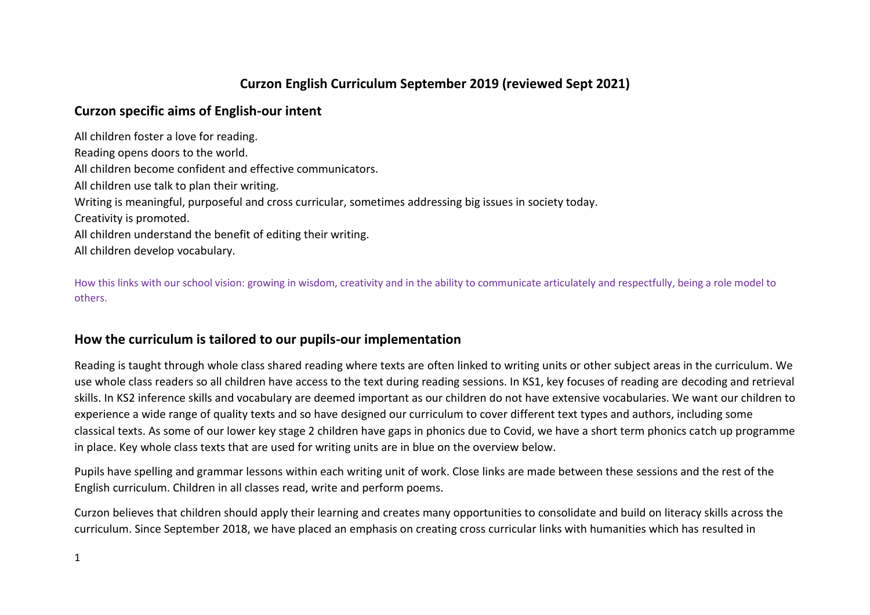# **Curzon English Curriculum September 2019 (reviewed Sept 2021)**

## **Curzon specific aims of English-our intent**

All children foster a love for reading. Reading opens doors to the world. All children become confident and effective communicators. All children use talk to plan their writing. Writing is meaningful, purposeful and cross curricular, sometimes addressing big issues in society today. Creativity is promoted. All children understand the benefit of editing their writing. All children develop vocabulary.

How this links with our school vision: growing in wisdom, creativity and in the ability to communicate articulately and respectfully, being a role model to others.

## **How the curriculum is tailored to our pupils-our implementation**

Reading is taught through whole class shared reading where texts are often linked to writing units or other subject areas in the curriculum. We use whole class readers so all children have access to the text during reading sessions. In KS1, key focuses of reading are decoding and retrieval skills. In KS2 inference skills and vocabulary are deemed important as our children do not have extensive vocabularies. We want our children to experience a wide range of quality texts and so have designed our curriculum to cover different text types and authors, including some classical texts. As some of our lower key stage 2 children have gaps in phonics due to Covid, we have a short term phonics catch up programme in place. Key whole class texts that are used for writing units are in blue on the overview below.

Pupils have spelling and grammar lessons within each writing unit of work. Close links are made between these sessions and the rest of the English curriculum. Children in all classes read, write and perform poems.

Curzon believes that children should apply their learning and creates many opportunities to consolidate and build on literacy skills across the curriculum. Since September 2018, we have placed an emphasis on creating cross curricular links with humanities which has resulted in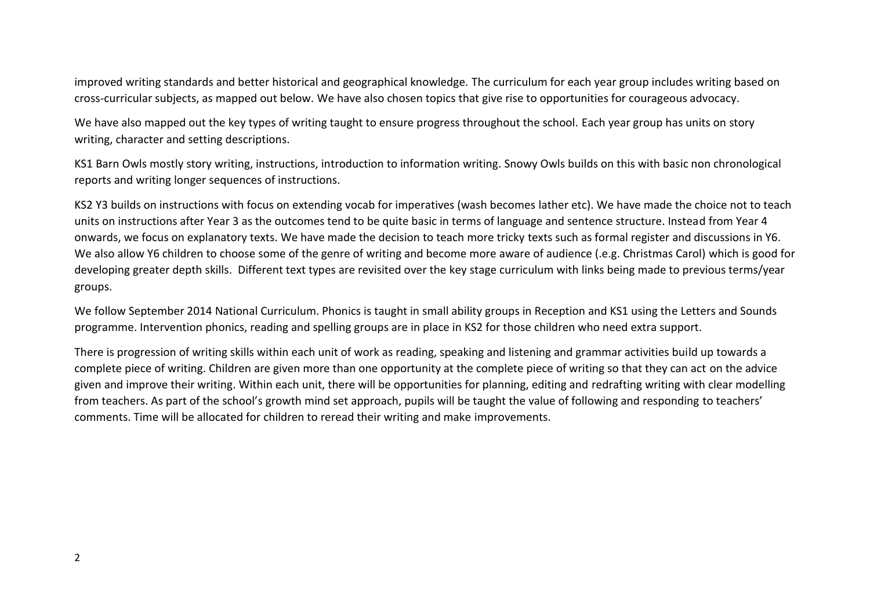improved writing standards and better historical and geographical knowledge. The curriculum for each year group includes writing based on cross-curricular subjects, as mapped out below. We have also chosen topics that give rise to opportunities for courageous advocacy.

We have also mapped out the key types of writing taught to ensure progress throughout the school. Each year group has units on story writing, character and setting descriptions.

KS1 Barn Owls mostly story writing, instructions, introduction to information writing. Snowy Owls builds on this with basic non chronological reports and writing longer sequences of instructions.

KS2 Y3 builds on instructions with focus on extending vocab for imperatives (wash becomes lather etc). We have made the choice not to teach units on instructions after Year 3 as the outcomes tend to be quite basic in terms of language and sentence structure. Instead from Year 4 onwards, we focus on explanatory texts. We have made the decision to teach more tricky texts such as formal register and discussions in Y6. We also allow Y6 children to choose some of the genre of writing and become more aware of audience (.e.g. Christmas Carol) which is good for developing greater depth skills. Different text types are revisited over the key stage curriculum with links being made to previous terms/year groups.

We follow September 2014 National Curriculum. Phonics is taught in small ability groups in Reception and KS1 using the Letters and Sounds programme. Intervention phonics, reading and spelling groups are in place in KS2 for those children who need extra support.

There is progression of writing skills within each unit of work as reading, speaking and listening and grammar activities build up towards a complete piece of writing. Children are given more than one opportunity at the complete piece of writing so that they can act on the advice given and improve their writing. Within each unit, there will be opportunities for planning, editing and redrafting writing with clear modelling from teachers. As part of the school's growth mind set approach, pupils will be taught the value of following and responding to teachers' comments. Time will be allocated for children to reread their writing and make improvements.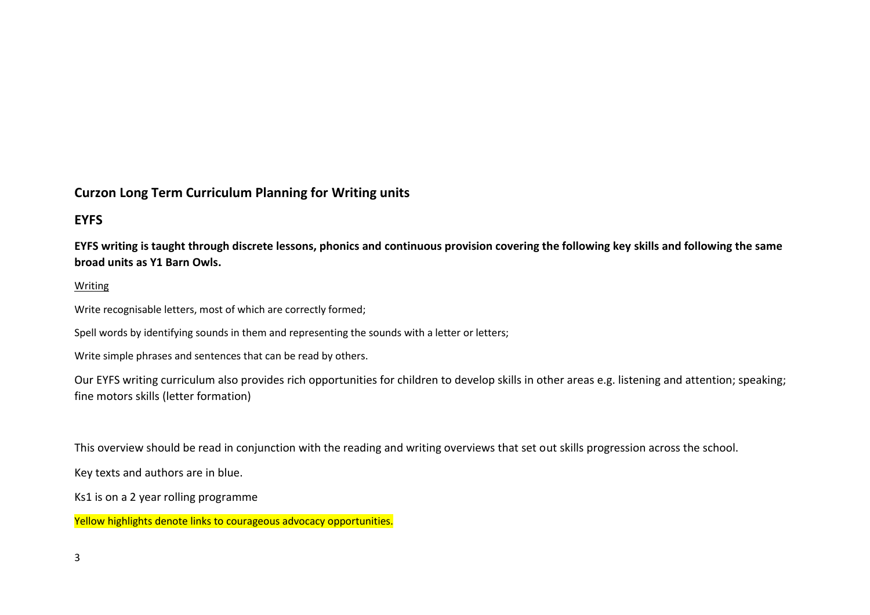## **Curzon Long Term Curriculum Planning for Writing units**

# **EYFS**

**EYFS writing is taught through discrete lessons, phonics and continuous provision covering the following key skills and following the same broad units as Y1 Barn Owls.**

#### Writing

Write recognisable letters, most of which are correctly formed;

Spell words by identifying sounds in them and representing the sounds with a letter or letters;

Write simple phrases and sentences that can be read by others.

Our EYFS writing curriculum also provides rich opportunities for children to develop skills in other areas e.g. listening and attention; speaking; fine motors skills (letter formation)

This overview should be read in conjunction with the reading and writing overviews that set out skills progression across the school.

Key texts and authors are in blue.

Ks1 is on a 2 year rolling programme

Yellow highlights denote links to courageous advocacy opportunities.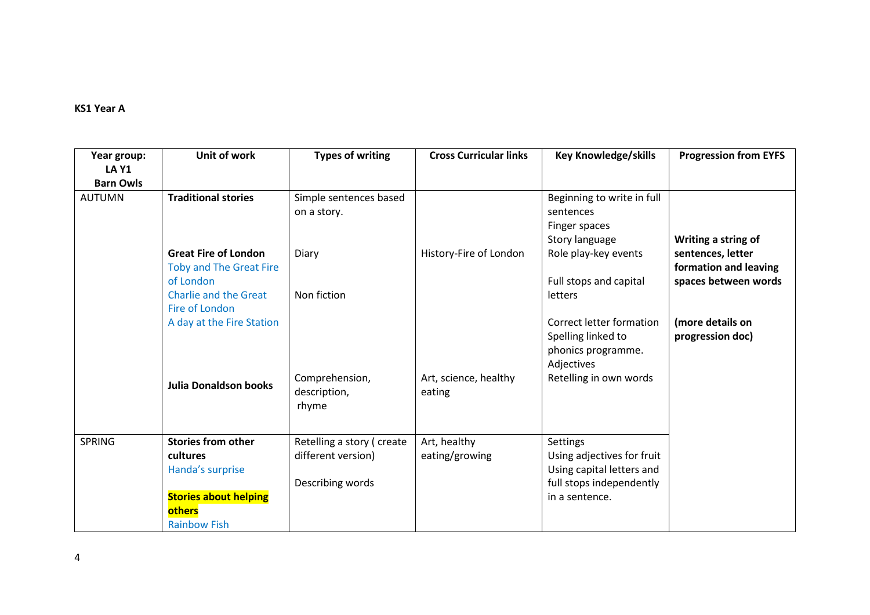### **KS1 Year A**

| Year group:                      | Unit of work                                                         | <b>Types of writing</b>                         | <b>Cross Curricular links</b>   | <b>Key Knowledge/skills</b>                                                        | <b>Progression from EYFS</b>               |
|----------------------------------|----------------------------------------------------------------------|-------------------------------------------------|---------------------------------|------------------------------------------------------------------------------------|--------------------------------------------|
| <b>LA Y1</b><br><b>Barn Owls</b> |                                                                      |                                                 |                                 |                                                                                    |                                            |
| <b>AUTUMN</b>                    | <b>Traditional stories</b>                                           | Simple sentences based<br>on a story.           |                                 | Beginning to write in full<br>sentences                                            |                                            |
|                                  |                                                                      |                                                 |                                 | Finger spaces<br>Story language                                                    | Writing a string of                        |
|                                  | <b>Great Fire of London</b><br>Toby and The Great Fire               | Diary                                           | History-Fire of London          | Role play-key events                                                               | sentences, letter<br>formation and leaving |
|                                  | of London<br><b>Charlie and the Great</b><br>Fire of London          | Non fiction                                     |                                 | Full stops and capital<br>letters                                                  | spaces between words                       |
|                                  | A day at the Fire Station                                            |                                                 |                                 | Correct letter formation<br>Spelling linked to<br>phonics programme.<br>Adjectives | (more details on<br>progression doc)       |
|                                  | <b>Julia Donaldson books</b>                                         | Comprehension,<br>description,<br>rhyme         | Art, science, healthy<br>eating | Retelling in own words                                                             |                                            |
| <b>SPRING</b>                    | <b>Stories from other</b><br>cultures<br>Handa's surprise            | Retelling a story (create<br>different version) | Art, healthy<br>eating/growing  | Settings<br>Using adjectives for fruit<br>Using capital letters and                |                                            |
|                                  | <b>Stories about helping</b><br><b>others</b><br><b>Rainbow Fish</b> | Describing words                                |                                 | full stops independently<br>in a sentence.                                         |                                            |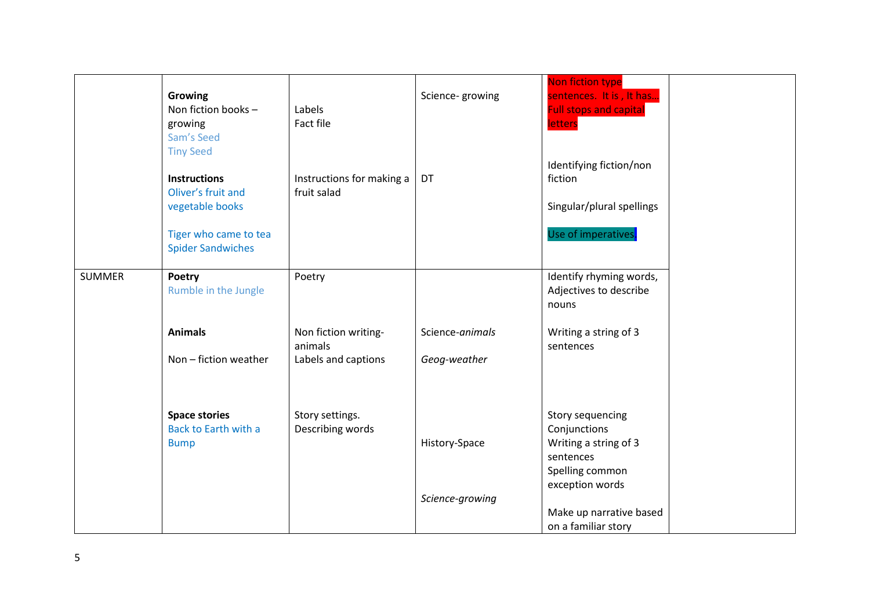|               | Growing<br>Non fiction books -<br>growing<br>Sam's Seed<br><b>Tiny Seed</b> | Labels<br><b>Fact file</b>                             | Science-growing                  | Non fiction type<br>sentences. It is, It has<br><b>Full stops and capital</b><br>letters<br>Identifying fiction/non |  |
|---------------|-----------------------------------------------------------------------------|--------------------------------------------------------|----------------------------------|---------------------------------------------------------------------------------------------------------------------|--|
|               | <b>Instructions</b><br>Oliver's fruit and<br>vegetable books                | Instructions for making a<br>fruit salad               | DT                               | fiction<br>Singular/plural spellings                                                                                |  |
|               | Tiger who came to tea<br><b>Spider Sandwiches</b>                           |                                                        |                                  | Use of imperatives.                                                                                                 |  |
| <b>SUMMER</b> | Poetry<br>Rumble in the Jungle                                              | Poetry                                                 |                                  | Identify rhyming words,<br>Adjectives to describe<br>nouns                                                          |  |
|               | <b>Animals</b><br>Non - fiction weather                                     | Non fiction writing-<br>animals<br>Labels and captions | Science-animals<br>Geog-weather  | Writing a string of 3<br>sentences                                                                                  |  |
|               | <b>Space stories</b><br><b>Back to Earth with a</b><br><b>Bump</b>          | Story settings.<br>Describing words                    | History-Space<br>Science-growing | <b>Story sequencing</b><br>Conjunctions<br>Writing a string of 3<br>sentences<br>Spelling common<br>exception words |  |
|               |                                                                             |                                                        |                                  | Make up narrative based<br>on a familiar story                                                                      |  |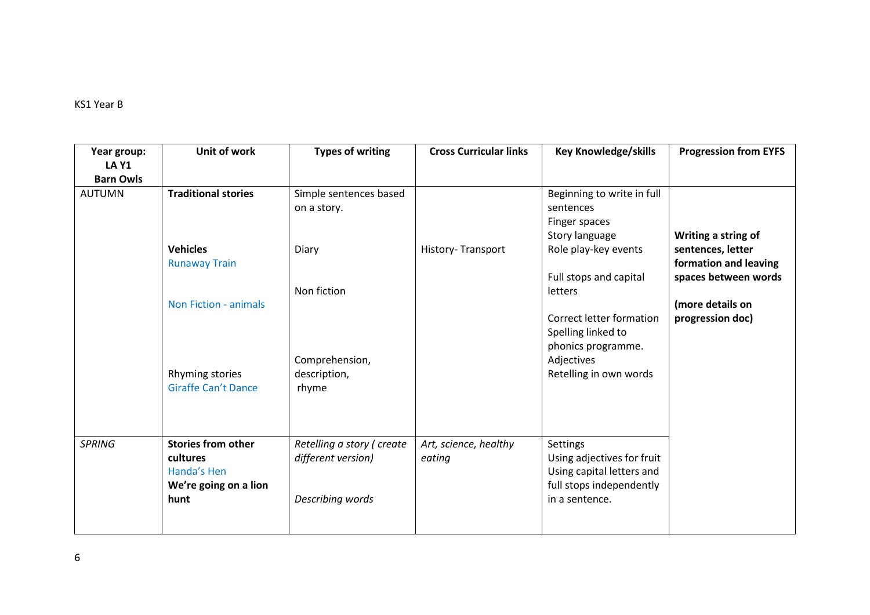### KS1 Year B

| Year group:                      | Unit of work                                                                          | <b>Types of writing</b>                                             | <b>Cross Curricular links</b>   | <b>Key Knowledge/skills</b>                                                                                       | <b>Progression from EYFS</b>                                                              |
|----------------------------------|---------------------------------------------------------------------------------------|---------------------------------------------------------------------|---------------------------------|-------------------------------------------------------------------------------------------------------------------|-------------------------------------------------------------------------------------------|
| <b>LA Y1</b><br><b>Barn Owls</b> |                                                                                       |                                                                     |                                 |                                                                                                                   |                                                                                           |
| <b>AUTUMN</b>                    | <b>Traditional stories</b>                                                            | Simple sentences based<br>on a story.                               |                                 | Beginning to write in full<br>sentences<br>Finger spaces                                                          |                                                                                           |
|                                  | <b>Vehicles</b><br><b>Runaway Train</b>                                               | Diary                                                               | History-Transport               | Story language<br>Role play-key events<br>Full stops and capital                                                  | Writing a string of<br>sentences, letter<br>formation and leaving<br>spaces between words |
|                                  | <b>Non Fiction - animals</b>                                                          | Non fiction                                                         |                                 | letters<br>Correct letter formation<br>Spelling linked to                                                         | (more details on<br>progression doc)                                                      |
|                                  | Rhyming stories<br><b>Giraffe Can't Dance</b>                                         | Comprehension,<br>description,<br>rhyme                             |                                 | phonics programme.<br>Adjectives<br>Retelling in own words                                                        |                                                                                           |
| <b>SPRING</b>                    | <b>Stories from other</b><br>cultures<br>Handa's Hen<br>We're going on a lion<br>hunt | Retelling a story (create<br>different version)<br>Describing words | Art, science, healthy<br>eating | Settings<br>Using adjectives for fruit<br>Using capital letters and<br>full stops independently<br>in a sentence. |                                                                                           |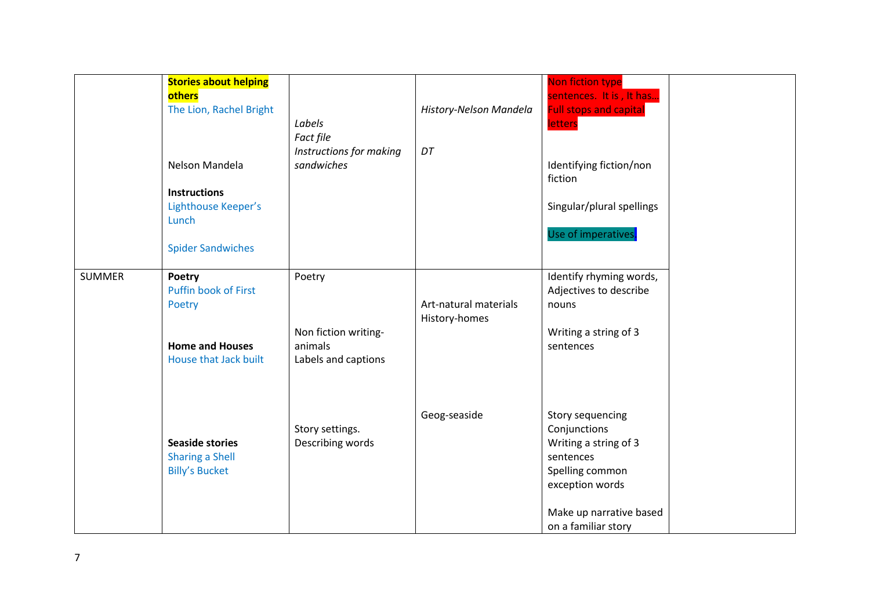|               | <b>Stories about helping</b><br>others<br>The Lion, Rachel Bright<br>Nelson Mandela<br><b>Instructions</b><br>Lighthouse Keeper's<br>Lunch<br><b>Spider Sandwiches</b> | Labels<br>Fact file<br>Instructions for making<br>sandwiches     | History-Nelson Mandela<br>DT           | Non fiction type<br>sentences. It is, It has<br><b>Full stops and capital</b><br><b>letters</b><br>Identifying fiction/non<br>fiction<br>Singular/plural spellings<br>Use of imperatives. |  |
|---------------|------------------------------------------------------------------------------------------------------------------------------------------------------------------------|------------------------------------------------------------------|----------------------------------------|-------------------------------------------------------------------------------------------------------------------------------------------------------------------------------------------|--|
| <b>SUMMER</b> | Poetry<br>Puffin book of First<br>Poetry<br><b>Home and Houses</b><br>House that Jack built                                                                            | Poetry<br>Non fiction writing-<br>animals<br>Labels and captions | Art-natural materials<br>History-homes | Identify rhyming words,<br>Adjectives to describe<br>nouns<br>Writing a string of 3<br>sentences                                                                                          |  |
|               | <b>Seaside stories</b><br><b>Sharing a Shell</b><br><b>Billy's Bucket</b>                                                                                              | Story settings.<br>Describing words                              | Geog-seaside                           | Story sequencing<br>Conjunctions<br>Writing a string of 3<br>sentences<br>Spelling common<br>exception words<br>Make up narrative based<br>on a familiar story                            |  |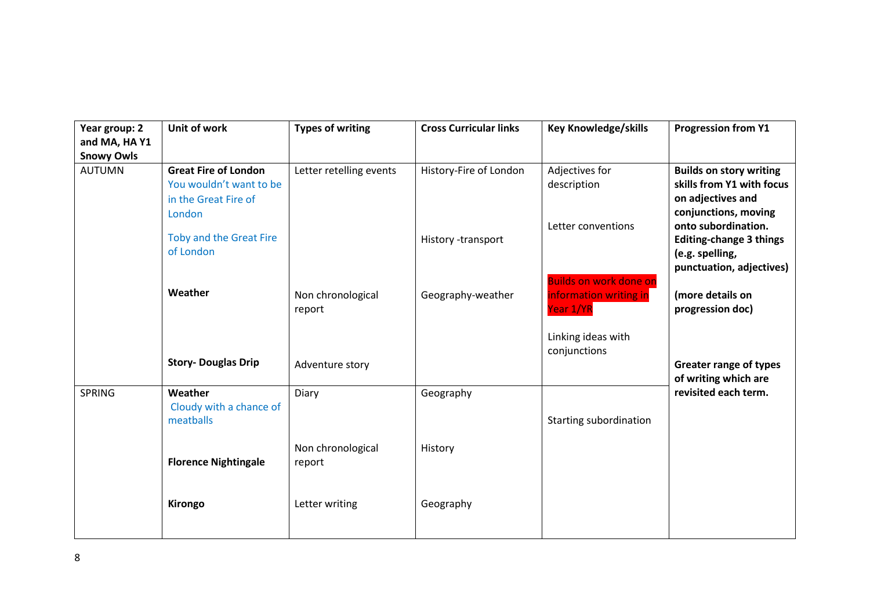| Year group: 2<br>and MA, HAY1<br><b>Snowy Owls</b> | Unit of work                                                                             | <b>Types of writing</b>     | <b>Cross Curricular links</b> | <b>Key Knowledge/skills</b>                                          | <b>Progression from Y1</b>                                                                               |
|----------------------------------------------------|------------------------------------------------------------------------------------------|-----------------------------|-------------------------------|----------------------------------------------------------------------|----------------------------------------------------------------------------------------------------------|
| <b>AUTUMN</b>                                      | <b>Great Fire of London</b><br>You wouldn't want to be<br>in the Great Fire of<br>London | Letter retelling events     | History-Fire of London        | Adjectives for<br>description                                        | <b>Builds on story writing</b><br>skills from Y1 with focus<br>on adjectives and<br>conjunctions, moving |
|                                                    | Toby and the Great Fire<br>of London                                                     |                             | History -transport            | Letter conventions                                                   | onto subordination.<br><b>Editing-change 3 things</b><br>(e.g. spelling,<br>punctuation, adjectives)     |
|                                                    | Weather                                                                                  | Non chronological<br>report | Geography-weather             | <b>Builds on work done on</b><br>information writing in<br>Year 1/YR | (more details on<br>progression doc)                                                                     |
|                                                    | <b>Story- Douglas Drip</b>                                                               | Adventure story             |                               | Linking ideas with<br>conjunctions                                   | <b>Greater range of types</b><br>of writing which are                                                    |
| <b>SPRING</b>                                      | Weather<br>Cloudy with a chance of<br>meatballs                                          | Diary                       | Geography                     | Starting subordination                                               | revisited each term.                                                                                     |
|                                                    | <b>Florence Nightingale</b>                                                              | Non chronological<br>report | History                       |                                                                      |                                                                                                          |
|                                                    | Kirongo                                                                                  | Letter writing              | Geography                     |                                                                      |                                                                                                          |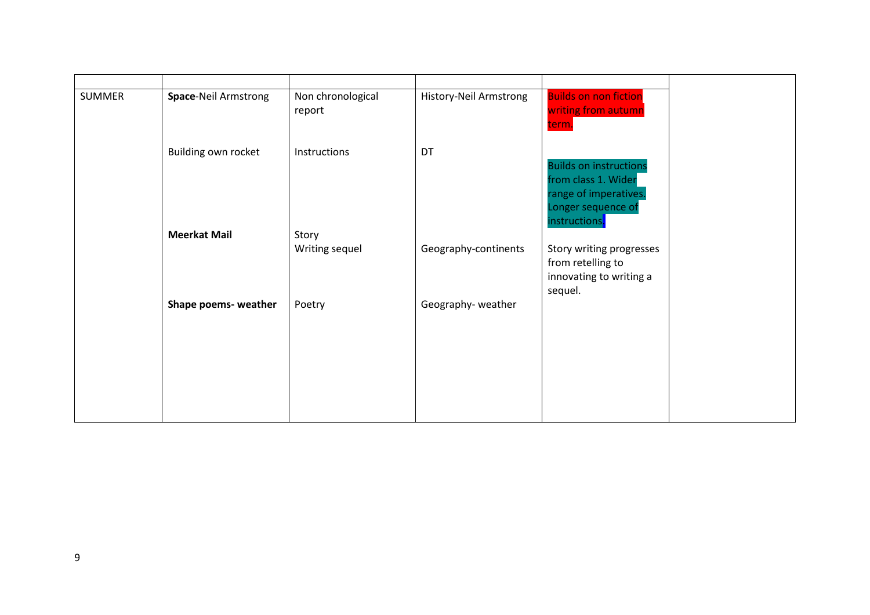| <b>SUMMER</b> | <b>Space-Neil Armstrong</b> | Non chronological | History-Neil Armstrong | <b>Builds on non fiction</b>  |
|---------------|-----------------------------|-------------------|------------------------|-------------------------------|
|               |                             | report            |                        | writing from autumn           |
|               |                             |                   |                        | term.                         |
|               |                             |                   |                        |                               |
|               | Building own rocket         | Instructions      | DT                     |                               |
|               |                             |                   |                        | <b>Builds on instructions</b> |
|               |                             |                   |                        | from class 1. Wider           |
|               |                             |                   |                        | range of imperatives.         |
|               |                             |                   |                        | Longer sequence of            |
|               |                             |                   |                        | instructions <mark>.</mark>   |
|               | <b>Meerkat Mail</b>         | Story             |                        |                               |
|               |                             | Writing sequel    | Geography-continents   | Story writing progresses      |
|               |                             |                   |                        | from retelling to             |
|               |                             |                   |                        | innovating to writing a       |
|               |                             |                   |                        |                               |
|               |                             |                   |                        | sequel.                       |
|               | Shape poems- weather        | Poetry            | Geography-weather      |                               |
|               |                             |                   |                        |                               |
|               |                             |                   |                        |                               |
|               |                             |                   |                        |                               |
|               |                             |                   |                        |                               |
|               |                             |                   |                        |                               |
|               |                             |                   |                        |                               |
|               |                             |                   |                        |                               |
|               |                             |                   |                        |                               |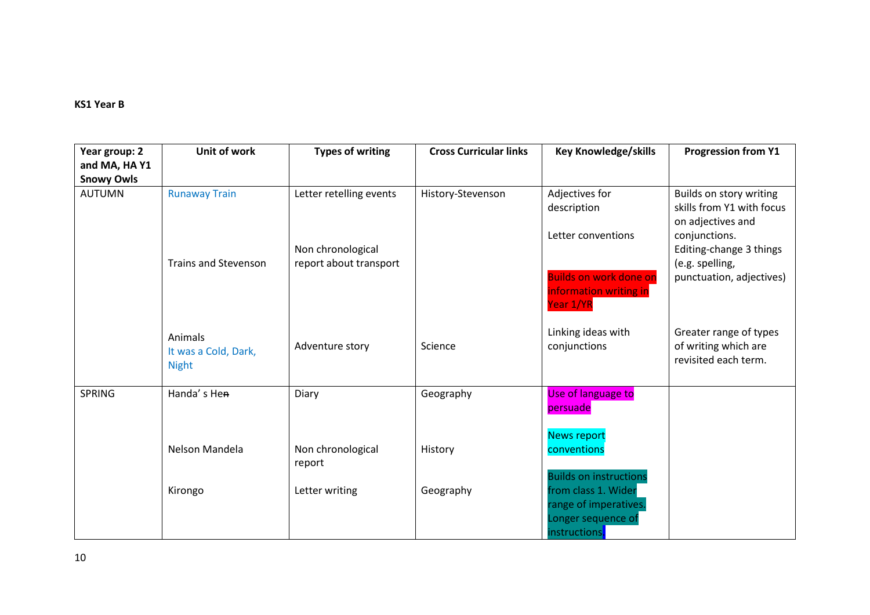#### **KS1 Year B**

| Year group: 2<br>and MA, HA Y1 | Unit of work                                    | <b>Types of writing</b>                     | <b>Cross Curricular links</b> | <b>Key Knowledge/skills</b>                                                                         | <b>Progression from Y1</b>                                                |
|--------------------------------|-------------------------------------------------|---------------------------------------------|-------------------------------|-----------------------------------------------------------------------------------------------------|---------------------------------------------------------------------------|
| <b>Snowy Owls</b>              |                                                 |                                             |                               |                                                                                                     |                                                                           |
| <b>AUTUMN</b>                  | <b>Runaway Train</b>                            | Letter retelling events                     | History-Stevenson             | Adjectives for<br>description                                                                       | Builds on story writing<br>skills from Y1 with focus<br>on adjectives and |
|                                | <b>Trains and Stevenson</b>                     | Non chronological<br>report about transport |                               | Letter conventions                                                                                  | conjunctions.<br>Editing-change 3 things<br>(e.g. spelling,               |
|                                |                                                 |                                             |                               | <b>Builds on work done on</b><br>information writing in<br>Year 1/YR                                | punctuation, adjectives)                                                  |
|                                | Animals<br>It was a Cold, Dark,<br><b>Night</b> | Adventure story                             | Science                       | Linking ideas with<br>conjunctions                                                                  | Greater range of types<br>of writing which are<br>revisited each term.    |
| <b>SPRING</b>                  | Handa's Hen                                     | Diary                                       | Geography                     | Use of language to<br>persuade                                                                      |                                                                           |
|                                | Nelson Mandela                                  | Non chronological<br>report                 | History                       | <b>News report</b><br>conventions                                                                   |                                                                           |
|                                | Kirongo                                         | Letter writing                              | Geography                     | <b>Builds on instructions</b><br>from class 1. Wider<br>range of imperatives.<br>Longer sequence of |                                                                           |
|                                |                                                 |                                             |                               | instructions <mark>.</mark>                                                                         |                                                                           |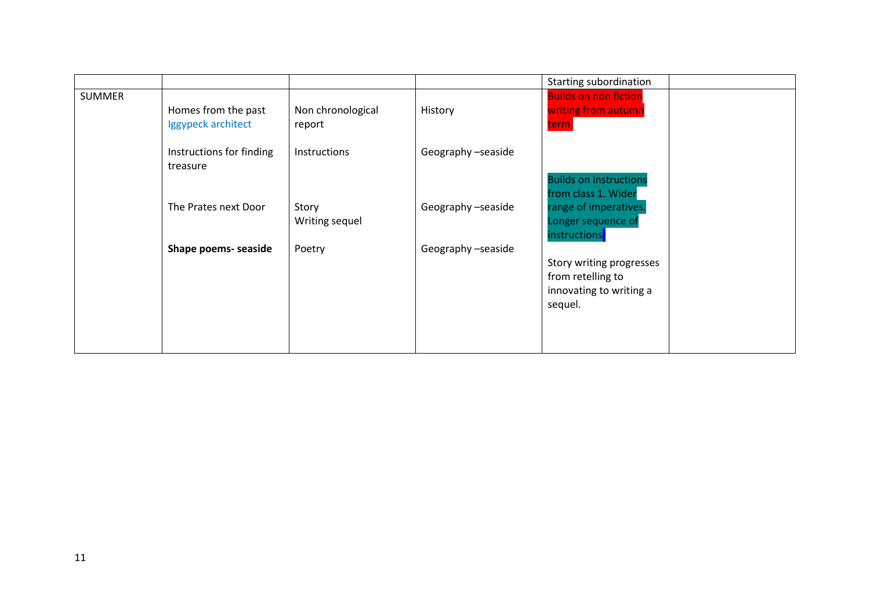|               |                                           |                             |                    | Starting subordination                                                              |
|---------------|-------------------------------------------|-----------------------------|--------------------|-------------------------------------------------------------------------------------|
| <b>SUMMER</b> | Homes from the past<br>Iggypeck architect | Non chronological<br>report | History            | <b>Builds on non fiction</b><br>writing from autumn<br>term.                        |
|               | Instructions for finding<br>treasure      | Instructions                | Geography -seaside | <b>Builds on instructions</b><br>from class 1. Wider                                |
|               | The Prates next Door                      | Story<br>Writing sequel     | Geography -seaside | range of imperatives.<br>Longer sequence of<br>instructions <mark>.</mark>          |
|               | Shape poems- seaside                      | Poetry                      | Geography -seaside | Story writing progresses<br>from retelling to<br>innovating to writing a<br>sequel. |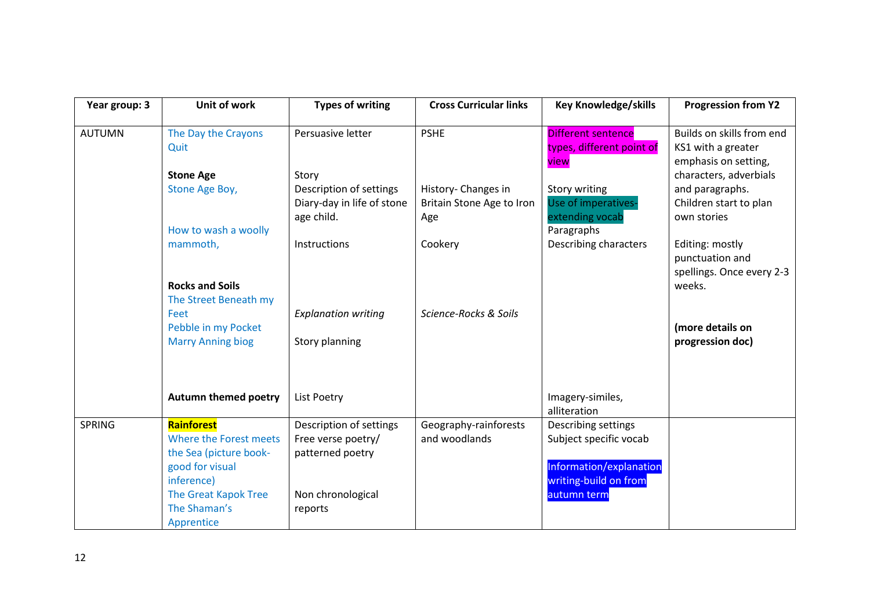| Year group: 3 | Unit of work                                                                                                                                   | <b>Types of writing</b>                                                                           | <b>Cross Curricular links</b>                           | <b>Key Knowledge/skills</b>                                                                                      | <b>Progression from Y2</b>                                              |
|---------------|------------------------------------------------------------------------------------------------------------------------------------------------|---------------------------------------------------------------------------------------------------|---------------------------------------------------------|------------------------------------------------------------------------------------------------------------------|-------------------------------------------------------------------------|
| <b>AUTUMN</b> | The Day the Crayons<br>Quit                                                                                                                    | Persuasive letter                                                                                 | <b>PSHE</b>                                             | Different sentence<br>types, different point of<br>view                                                          | Builds on skills from end<br>KS1 with a greater<br>emphasis on setting, |
|               | <b>Stone Age</b>                                                                                                                               | Story                                                                                             |                                                         |                                                                                                                  | characters, adverbials                                                  |
|               | Stone Age Boy,                                                                                                                                 | Description of settings<br>Diary-day in life of stone<br>age child.                               | History- Changes in<br>Britain Stone Age to Iron<br>Age | Story writing<br>Use of imperatives-<br>extending vocab                                                          | and paragraphs.<br>Children start to plan<br>own stories                |
|               | How to wash a woolly<br>mammoth,                                                                                                               | Instructions                                                                                      | Cookery                                                 | Paragraphs<br>Describing characters                                                                              | Editing: mostly<br>punctuation and<br>spellings. Once every 2-3         |
|               | <b>Rocks and Soils</b>                                                                                                                         |                                                                                                   |                                                         |                                                                                                                  | weeks.                                                                  |
|               | The Street Beneath my                                                                                                                          |                                                                                                   | Science-Rocks & Soils                                   |                                                                                                                  |                                                                         |
|               | Feet<br>Pebble in my Pocket                                                                                                                    | <b>Explanation writing</b>                                                                        |                                                         |                                                                                                                  | (more details on                                                        |
|               | <b>Marry Anning biog</b>                                                                                                                       | Story planning                                                                                    |                                                         |                                                                                                                  | progression doc)                                                        |
|               | Autumn themed poetry                                                                                                                           | List Poetry                                                                                       |                                                         | Imagery-similes,<br>alliteration                                                                                 |                                                                         |
| <b>SPRING</b> | <b>Rainforest</b><br>Where the Forest meets<br>the Sea (picture book-<br>good for visual<br>inference)<br>The Great Kapok Tree<br>The Shaman's | Description of settings<br>Free verse poetry/<br>patterned poetry<br>Non chronological<br>reports | Geography-rainforests<br>and woodlands                  | Describing settings<br>Subject specific vocab<br>Information/explanation<br>writing-build on from<br>autumn term |                                                                         |
|               | Apprentice                                                                                                                                     |                                                                                                   |                                                         |                                                                                                                  |                                                                         |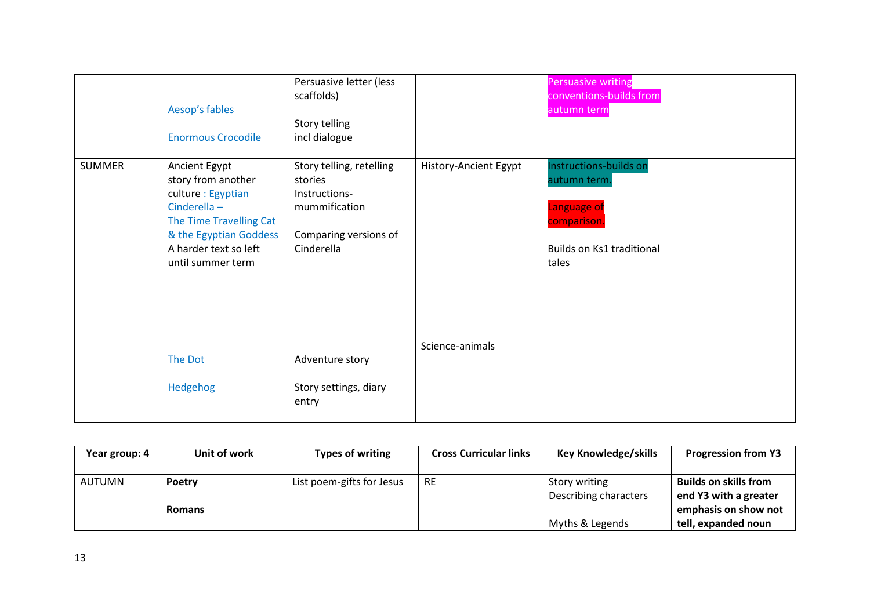|               | Aesop's fables<br><b>Enormous Crocodile</b>                                                                                                                                 | Persuasive letter (less<br>scaffolds)<br>Story telling<br>incl dialogue                                      |                       | <b>Persuasive writing</b><br>conventions-builds from<br>autumn term                                        |  |
|---------------|-----------------------------------------------------------------------------------------------------------------------------------------------------------------------------|--------------------------------------------------------------------------------------------------------------|-----------------------|------------------------------------------------------------------------------------------------------------|--|
| <b>SUMMER</b> | Ancient Egypt<br>story from another<br>culture : Egyptian<br>Cinderella-<br>The Time Travelling Cat<br>& the Egyptian Goddess<br>A harder text so left<br>until summer term | Story telling, retelling<br>stories<br>Instructions-<br>mummification<br>Comparing versions of<br>Cinderella | History-Ancient Egypt | Instructions-builds on<br>autumn term.<br>Language of<br>comparison.<br>Builds on Ks1 traditional<br>tales |  |
|               | The Dot<br>Hedgehog                                                                                                                                                         | Adventure story<br>Story settings, diary<br>entry                                                            | Science-animals       |                                                                                                            |  |

| Year group: 4 | Unit of work  | Types of writing          | <b>Cross Curricular links</b> | <b>Key Knowledge/skills</b> | <b>Progression from Y3</b>   |
|---------------|---------------|---------------------------|-------------------------------|-----------------------------|------------------------------|
| <b>AUTUMN</b> | <b>Poetry</b> | List poem-gifts for Jesus | <b>RE</b>                     | Story writing               | <b>Builds on skills from</b> |
|               |               |                           |                               | Describing characters       | end Y3 with a greater        |
|               | <b>Romans</b> |                           |                               |                             | emphasis on show not         |
|               |               |                           |                               | Myths & Legends             | tell, expanded noun          |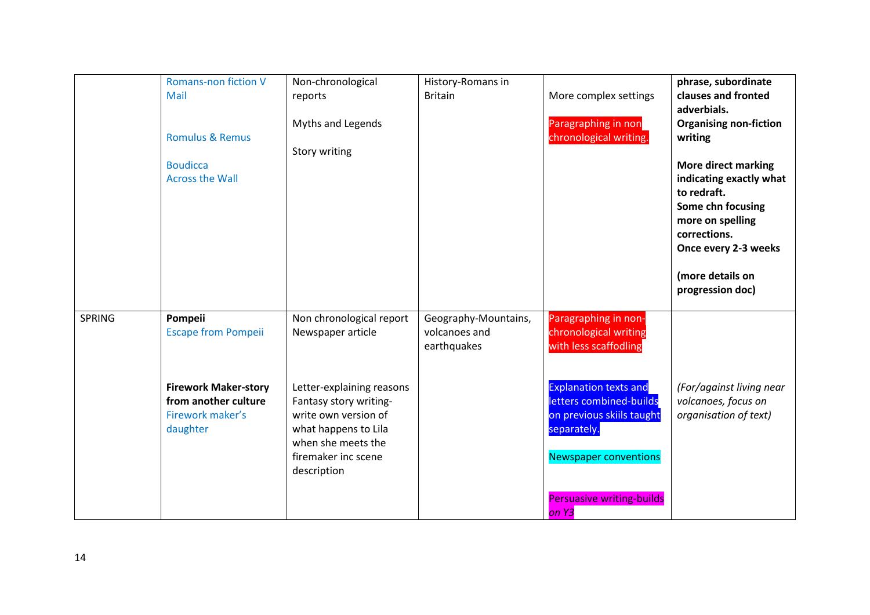|               | <b>Romans-non fiction V</b><br>Mail<br><b>Romulus &amp; Remus</b><br><b>Boudicca</b><br><b>Across the Wall</b>               | Non-chronological<br>reports<br>Myths and Legends<br>Story writing                                                                                                                                | History-Romans in<br><b>Britain</b>                  | More complex settings<br>Paragraphing in non<br>chronological writing.                                                                                                                                        | phrase, subordinate<br>clauses and fronted<br>adverbials.<br><b>Organising non-fiction</b><br>writing<br><b>More direct marking</b><br>indicating exactly what<br>to redraft.<br>Some chn focusing<br>more on spelling<br>corrections.<br>Once every 2-3 weeks<br>(more details on<br>progression doc) |
|---------------|------------------------------------------------------------------------------------------------------------------------------|---------------------------------------------------------------------------------------------------------------------------------------------------------------------------------------------------|------------------------------------------------------|---------------------------------------------------------------------------------------------------------------------------------------------------------------------------------------------------------------|--------------------------------------------------------------------------------------------------------------------------------------------------------------------------------------------------------------------------------------------------------------------------------------------------------|
| <b>SPRING</b> | Pompeii<br><b>Escape from Pompeii</b><br><b>Firework Maker-story</b><br>from another culture<br>Firework maker's<br>daughter | Non chronological report<br>Newspaper article<br>Letter-explaining reasons<br>Fantasy story writing-<br>write own version of<br>what happens to Lila<br>when she meets the<br>firemaker inc scene | Geography-Mountains,<br>volcanoes and<br>earthquakes | Paragraphing in non-<br>chronological writing<br>with less scaffodling<br><b>Explanation texts and</b><br>letters combined-builds<br>on previous skiils taught<br>separately.<br><b>Newspaper conventions</b> | (For/against living near<br>volcanoes, focus on<br>organisation of text)                                                                                                                                                                                                                               |
|               |                                                                                                                              | description                                                                                                                                                                                       |                                                      | <b>Persuasive writing-builds</b><br>on Y3                                                                                                                                                                     |                                                                                                                                                                                                                                                                                                        |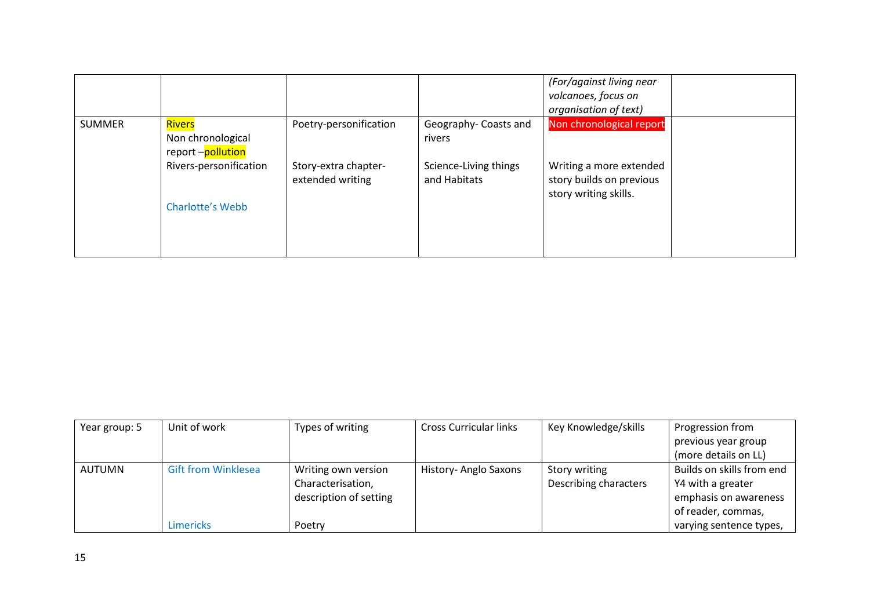|               |                                                         |                                          |                                       | (For/against living near<br>volcanoes, focus on<br>organisation of text)     |  |
|---------------|---------------------------------------------------------|------------------------------------------|---------------------------------------|------------------------------------------------------------------------------|--|
| <b>SUMMER</b> | <b>Rivers</b><br>Non chronological<br>report -pollution | Poetry-personification                   | Geography- Coasts and<br>rivers       | Non chronological report                                                     |  |
|               | Rivers-personification                                  | Story-extra chapter-<br>extended writing | Science-Living things<br>and Habitats | Writing a more extended<br>story builds on previous<br>story writing skills. |  |
|               | <b>Charlotte's Webb</b>                                 |                                          |                                       |                                                                              |  |

| Year group: 5 | Unit of work               | Types of writing       | <b>Cross Curricular links</b> | Key Knowledge/skills  | Progression from          |
|---------------|----------------------------|------------------------|-------------------------------|-----------------------|---------------------------|
|               |                            |                        |                               |                       | previous year group       |
|               |                            |                        |                               |                       | (more details on LL)      |
| AUTUMN        | <b>Gift from Winklesea</b> | Writing own version    | History- Anglo Saxons         | Story writing         | Builds on skills from end |
|               |                            | Characterisation,      |                               | Describing characters | Y4 with a greater         |
|               |                            | description of setting |                               |                       | emphasis on awareness     |
|               |                            |                        |                               |                       | of reader, commas,        |
|               | <b>Limericks</b>           | Poetry                 |                               |                       | varying sentence types,   |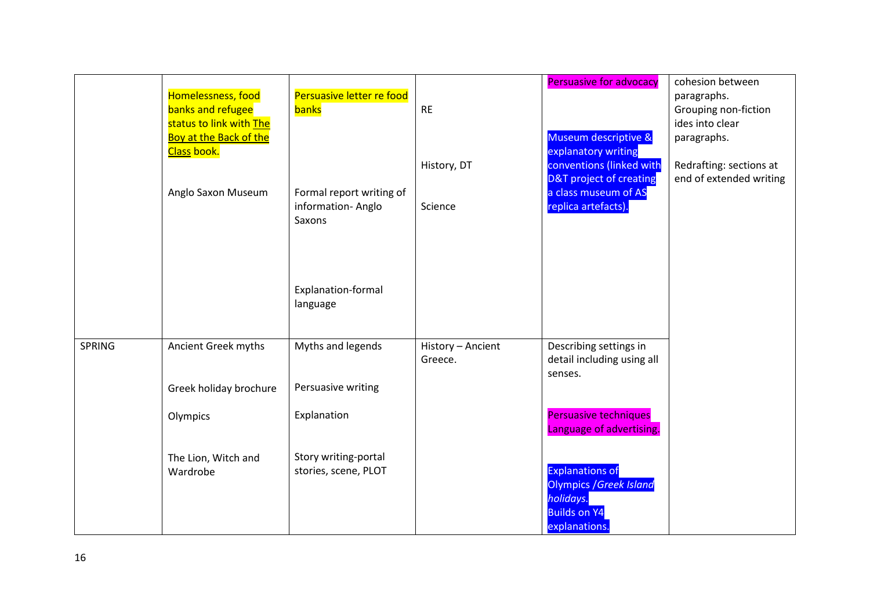|               | Homelessness, food<br>banks and refugee<br>status to link with The<br>Boy at the Back of the<br>Class book. | Persuasive letter re food<br>banks                      | <b>RE</b><br>History, DT     | <b>Persuasive for advocacy</b><br>Museum descriptive &<br>explanatory writing<br>conventions (linked with<br>D&T project of creating | cohesion between<br>paragraphs.<br>Grouping non-fiction<br>ides into clear<br>paragraphs.<br>Redrafting: sections at<br>end of extended writing |
|---------------|-------------------------------------------------------------------------------------------------------------|---------------------------------------------------------|------------------------------|--------------------------------------------------------------------------------------------------------------------------------------|-------------------------------------------------------------------------------------------------------------------------------------------------|
|               | Anglo Saxon Museum                                                                                          | Formal report writing of<br>information-Anglo<br>Saxons | Science                      | a class museum of AS<br>replica artefacts).                                                                                          |                                                                                                                                                 |
|               |                                                                                                             | Explanation-formal<br>language                          |                              |                                                                                                                                      |                                                                                                                                                 |
| <b>SPRING</b> | Ancient Greek myths                                                                                         | Myths and legends                                       | History - Ancient<br>Greece. | Describing settings in<br>detail including using all<br>senses.                                                                      |                                                                                                                                                 |
|               | Greek holiday brochure                                                                                      | Persuasive writing                                      |                              |                                                                                                                                      |                                                                                                                                                 |
|               | Olympics                                                                                                    | Explanation                                             |                              | <b>Persuasive techniques</b><br>Language of advertising.                                                                             |                                                                                                                                                 |
|               | The Lion, Witch and<br>Wardrobe                                                                             | Story writing-portal<br>stories, scene, PLOT            |                              | <b>Explanations of</b><br><b>Olympics / Greek Island</b><br>holidays.<br><b>Builds on Y4</b><br>explanations.                        |                                                                                                                                                 |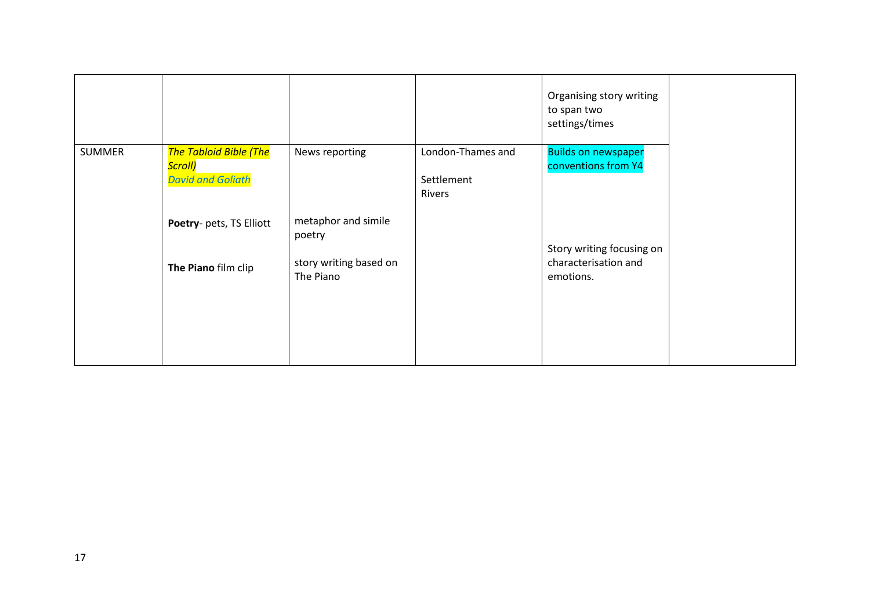|               |                                                                      |                                     |                                           | Organising story writing<br>to span two<br>settings/times |  |
|---------------|----------------------------------------------------------------------|-------------------------------------|-------------------------------------------|-----------------------------------------------------------|--|
| <b>SUMMER</b> | <b>The Tabloid Bible (The</b><br>Scroll)<br><b>David and Goliath</b> | News reporting                      | London-Thames and<br>Settlement<br>Rivers | <b>Builds on newspaper</b><br>conventions from Y4         |  |
|               | Poetry- pets, TS Elliott                                             | metaphor and simile<br>poetry       |                                           | Story writing focusing on                                 |  |
|               | The Piano film clip                                                  | story writing based on<br>The Piano |                                           | characterisation and<br>emotions.                         |  |
|               |                                                                      |                                     |                                           |                                                           |  |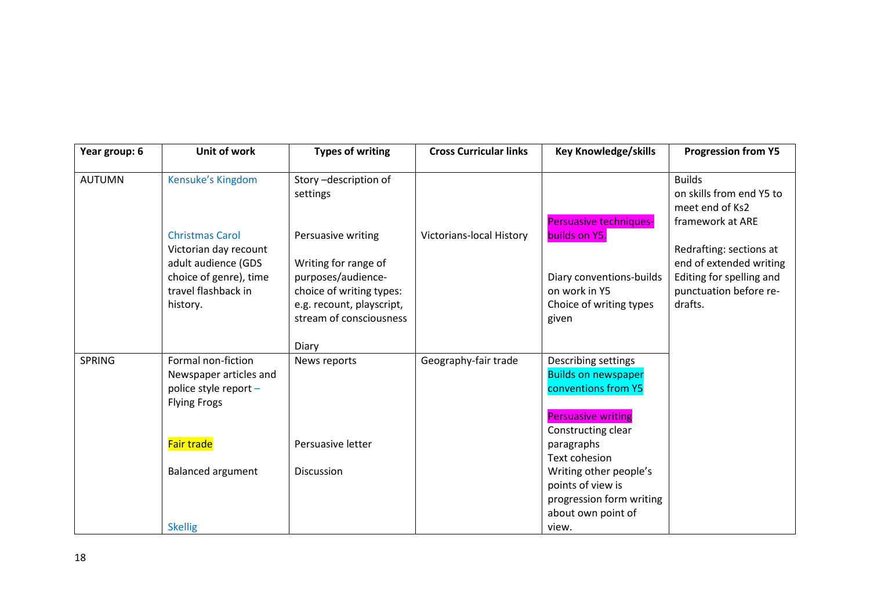| Year group: 6 | Unit of work                                 | <b>Types of writing</b>          | <b>Cross Curricular links</b>   | <b>Key Knowledge/skills</b> | <b>Progression from Y5</b>                                                       |
|---------------|----------------------------------------------|----------------------------------|---------------------------------|-----------------------------|----------------------------------------------------------------------------------|
| <b>AUTUMN</b> | Kensuke's Kingdom                            | Story-description of<br>settings |                                 | Persuasive techniques-      | <b>Builds</b><br>on skills from end Y5 to<br>meet end of Ks2<br>framework at ARE |
|               | <b>Christmas Carol</b>                       | Persuasive writing               | <b>Victorians-local History</b> | builds on Y5.               |                                                                                  |
|               | Victorian day recount<br>adult audience (GDS | Writing for range of             |                                 |                             | Redrafting: sections at<br>end of extended writing                               |
|               | choice of genre), time                       | purposes/audience-               |                                 | Diary conventions-builds    | Editing for spelling and                                                         |
|               | travel flashback in                          | choice of writing types:         |                                 | on work in Y5               | punctuation before re-                                                           |
|               | history.                                     | e.g. recount, playscript,        |                                 | Choice of writing types     | drafts.                                                                          |
|               |                                              | stream of consciousness          |                                 | given                       |                                                                                  |
|               |                                              | Diary                            |                                 |                             |                                                                                  |
| <b>SPRING</b> | Formal non-fiction                           | News reports                     | Geography-fair trade            | Describing settings         |                                                                                  |
|               | Newspaper articles and                       |                                  |                                 | <b>Builds on newspaper</b>  |                                                                                  |
|               | police style report -                        |                                  |                                 | conventions from Y5         |                                                                                  |
|               | <b>Flying Frogs</b>                          |                                  |                                 |                             |                                                                                  |
|               |                                              |                                  |                                 | <b>Persuasive writing</b>   |                                                                                  |
|               | Fair trade                                   | Persuasive letter                |                                 | Constructing clear          |                                                                                  |
|               |                                              |                                  |                                 | paragraphs<br>Text cohesion |                                                                                  |
|               | <b>Balanced argument</b>                     | Discussion                       |                                 | Writing other people's      |                                                                                  |
|               |                                              |                                  |                                 | points of view is           |                                                                                  |
|               |                                              |                                  |                                 | progression form writing    |                                                                                  |
|               |                                              |                                  |                                 | about own point of          |                                                                                  |
|               | <b>Skellig</b>                               |                                  |                                 | view.                       |                                                                                  |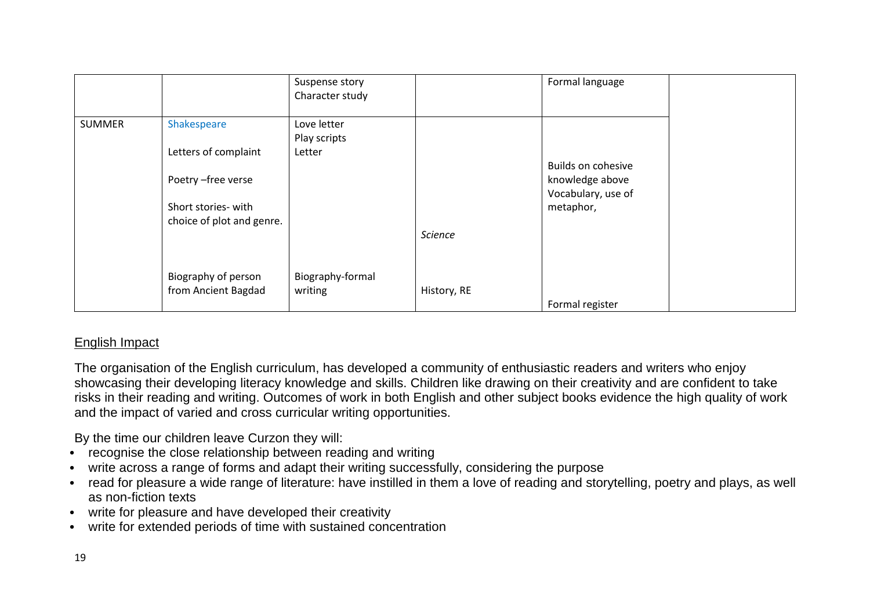|               |                                            | Suspense story<br>Character study |                | Formal language                 |  |
|---------------|--------------------------------------------|-----------------------------------|----------------|---------------------------------|--|
| <b>SUMMER</b> | Shakespeare                                | Love letter<br>Play scripts       |                |                                 |  |
|               | Letters of complaint                       | Letter                            |                | <b>Builds on cohesive</b>       |  |
|               | Poetry - free verse                        |                                   |                | knowledge above                 |  |
|               | Short stories- with                        |                                   |                | Vocabulary, use of<br>metaphor, |  |
|               | choice of plot and genre.                  |                                   | <b>Science</b> |                                 |  |
|               | Biography of person<br>from Ancient Bagdad | Biography-formal<br>writing       | History, RE    | Formal register                 |  |

## English Impact

The organisation of the English curriculum, has developed a community of enthusiastic readers and writers who enjoy showcasing their developing literacy knowledge and skills. Children like drawing on their creativity and are confident to take risks in their reading and writing. Outcomes of work in both English and other subject books evidence the high quality of work and the impact of varied and cross curricular writing opportunities.

By the time our children leave Curzon they will:

- recognise the close relationship between reading and writing
- write across a range of forms and adapt their writing successfully, considering the purpose
- read for pleasure a wide range of literature: have instilled in them a love of reading and storytelling, poetry and plays, as well as non-fiction texts
- write for pleasure and have developed their creativity
- write for extended periods of time with sustained concentration